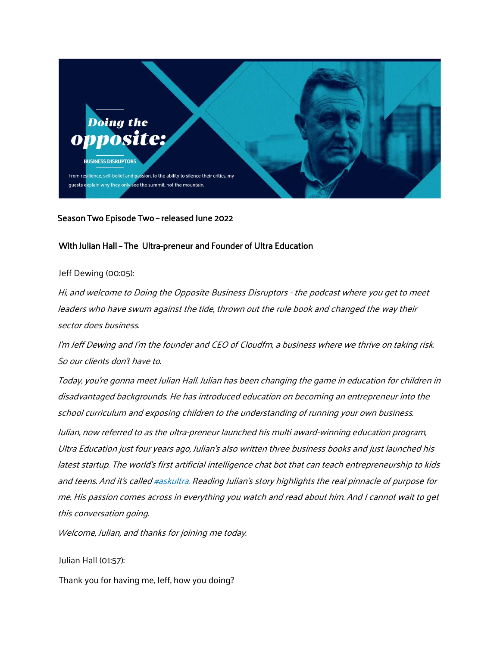

# Season Two Episode Two – released June 2022

# With Julian Hall – The Ultra-preneur and Founder of Ultra Education

Jeff Dewing (00:05):

Hi, and welcome to Doing the Opposite Business Disruptors - the podcast where you get to meet leaders who have swum against the tide, thrown out the rule book and changed the way their sector does business.

I'm Jeff Dewing and I'm the founder and CEO of Cloudfm, a business where we thrive on taking risk. So our clients don't have to.

Today, you're gonna meet Julian Hall. Julian has been changing the game in education for children in disadvantaged backgrounds. He has introduced education on becoming an entrepreneur into the school curriculum and exposing children to the understanding of running your own business.

Julian, now referred to as the ultra-preneur launched his multi award-winning education program, Ultra Education just four years ago, Julian's also written three business books and just launched his latest startup. The world's first artificial intelligence chat bot that can teach entrepreneurship to kids and teens. And it's called #askultra. Reading Julian's story highlights the real pinnacle of purpose for me. His passion comes across in everything you watch and read about him. And I cannot wait to get this conversation going.

Welcome, Julian, and thanks for joining me today.

Julian Hall (01:57):

Thank you for having me, Jeff, how you doing?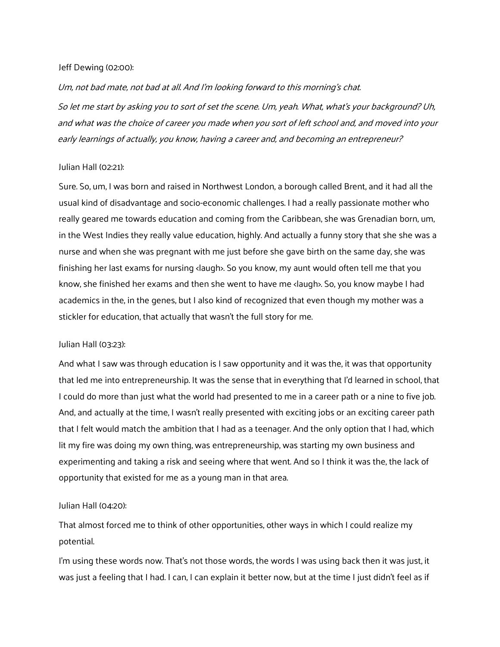### Jeff Dewing (02:00):

Um, not bad mate, not bad at all. And I'm looking forward to this morning's chat.

So let me start by asking you to sort of set the scene. Um, yeah. What, what's your background? Uh, and what was the choice of career you made when you sort of left school and, and moved into your early learnings of actually, you know, having a career and, and becoming an entrepreneur?

## Julian Hall (02:21):

Sure. So, um, I was born and raised in Northwest London, a borough called Brent, and it had all the usual kind of disadvantage and socio-economic challenges. I had a really passionate mother who really geared me towards education and coming from the Caribbean, she was Grenadian born, um, in the West Indies they really value education, highly. And actually a funny story that she she was a nurse and when she was pregnant with me just before she gave birth on the same day, she was finishing her last exams for nursing <laugh>. So you know, my aunt would often tell me that you know, she finished her exams and then she went to have me <laugh>. So, you know maybe I had academics in the, in the genes, but I also kind of recognized that even though my mother was a stickler for education, that actually that wasn't the full story for me.

### Julian Hall (03:23):

And what I saw was through education is I saw opportunity and it was the, it was that opportunity that led me into entrepreneurship. It was the sense that in everything that I'd learned in school, that I could do more than just what the world had presented to me in a career path or a nine to five job. And, and actually at the time, I wasn't really presented with exciting jobs or an exciting career path that I felt would match the ambition that I had as a teenager. And the only option that I had, which lit my fire was doing my own thing, was entrepreneurship, was starting my own business and experimenting and taking a risk and seeing where that went. And so I think it was the, the lack of opportunity that existed for me as a young man in that area.

## Julian Hall (04:20):

That almost forced me to think of other opportunities, other ways in which I could realize my potential.

I'm using these words now. That's not those words, the words I was using back then it was just, it was just a feeling that I had. I can, I can explain it better now, but at the time I just didn't feel as if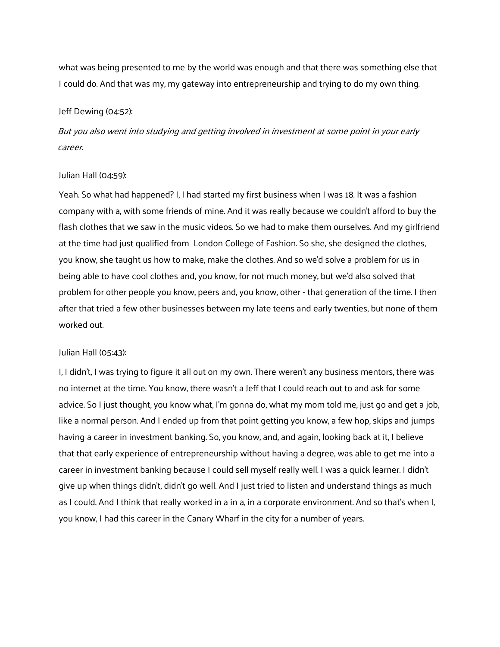what was being presented to me by the world was enough and that there was something else that I could do. And that was my, my gateway into entrepreneurship and trying to do my own thing.

#### Jeff Dewing (04:52):

But you also went into studying and getting involved in investment at some point in your early career.

### Julian Hall (04:59):

Yeah. So what had happened? I, I had started my first business when I was 18. It was a fashion company with a, with some friends of mine. And it was really because we couldn't afford to buy the flash clothes that we saw in the music videos. So we had to make them ourselves. And my girlfriend at the time had just qualified from London College of Fashion. So she, she designed the clothes, you know, she taught us how to make, make the clothes. And so we'd solve a problem for us in being able to have cool clothes and, you know, for not much money, but we'd also solved that problem for other people you know, peers and, you know, other - that generation of the time. I then after that tried a few other businesses between my late teens and early twenties, but none of them worked out.

#### Julian Hall (05:43):

I, I didn't, I was trying to figure it all out on my own. There weren't any business mentors, there was no internet at the time. You know, there wasn't a Jeff that I could reach out to and ask for some advice. So I just thought, you know what, I'm gonna do, what my mom told me, just go and get a job, like a normal person. And I ended up from that point getting you know, a few hop, skips and jumps having a career in investment banking. So, you know, and, and again, looking back at it, I believe that that early experience of entrepreneurship without having a degree, was able to get me into a career in investment banking because I could sell myself really well. I was a quick learner. I didn't give up when things didn't, didn't go well. And I just tried to listen and understand things as much as I could. And I think that really worked in a in a, in a corporate environment. And so that's when I, you know, I had this career in the Canary Wharf in the city for a number of years.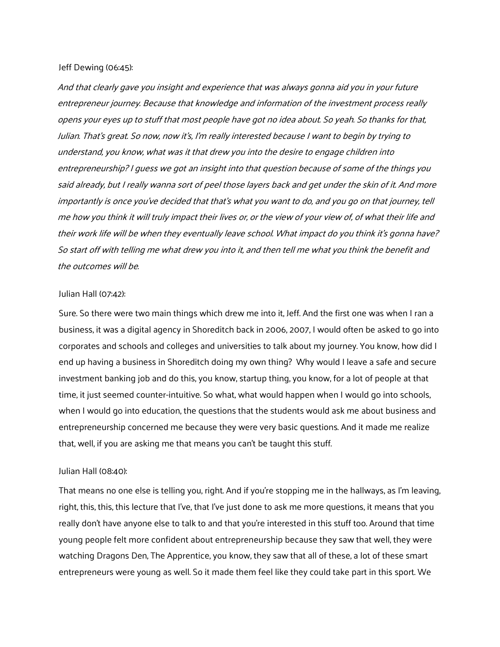#### Jeff Dewing (06:45):

And that clearly gave you insight and experience that was always gonna aid you in your future entrepreneur journey. Because that knowledge and information of the investment process really opens your eyes up to stuff that most people have got no idea about. So yeah. So thanks for that, Julian. That's great. So now, now it's, I'm really interested because I want to begin by trying to understand, you know, what was it that drew you into the desire to engage children into entrepreneurship? I guess we got an insight into that question because of some of the things you said already, but I really wanna sort of peel those layers back and get under the skin of it. And more importantly is once you've decided that that's what you want to do, and you go on that journey, tell me how you think it will truly impact their lives or, or the view of your view of, of what their life and their work life will be when they eventually leave school. What impact do you think it's gonna have? So start off with telling me what drew you into it, and then tell me what you think the benefit and the outcomes will be.

#### Julian Hall (07:42):

Sure. So there were two main things which drew me into it, Jeff. And the first one was when I ran a business, it was a digital agency in Shoreditch back in 2006, 2007, I would often be asked to go into corporates and schools and colleges and universities to talk about my journey. You know, how did I end up having a business in Shoreditch doing my own thing? Why would I leave a safe and secure investment banking job and do this, you know, startup thing, you know, for a lot of people at that time, it just seemed counter-intuitive. So what, what would happen when I would go into schools, when I would go into education, the questions that the students would ask me about business and entrepreneurship concerned me because they were very basic questions. And it made me realize that, well, if you are asking me that means you can't be taught this stuff.

### Julian Hall (08:40):

That means no one else is telling you, right. And if you're stopping me in the hallways, as I'm leaving, right, this, this, this lecture that I've, that I've just done to ask me more questions, it means that you really don't have anyone else to talk to and that you're interested in this stuff too. Around that time young people felt more confident about entrepreneurship because they saw that well, they were watching Dragons Den, The Apprentice, you know, they saw that all of these, a lot of these smart entrepreneurs were young as well. So it made them feel like they could take part in this sport. We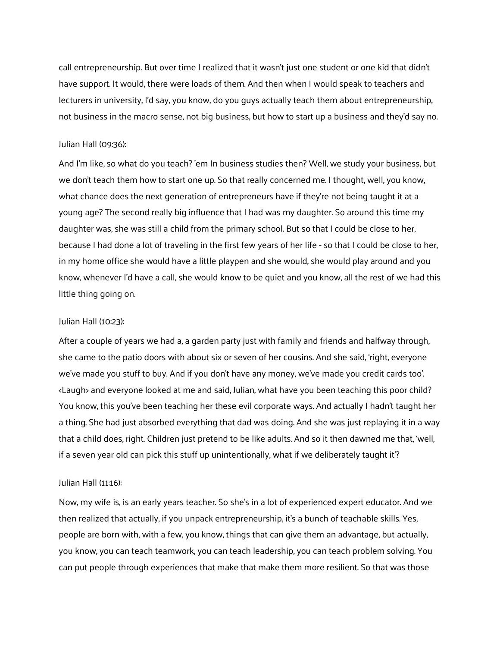call entrepreneurship. But over time I realized that it wasn't just one student or one kid that didn't have support. It would, there were loads of them. And then when I would speak to teachers and lecturers in university, I'd say, you know, do you guys actually teach them about entrepreneurship, not business in the macro sense, not big business, but how to start up a business and they'd say no.

## Julian Hall (09:36):

And I'm like, so what do you teach? 'em In business studies then? Well, we study your business, but we don't teach them how to start one up. So that really concerned me. I thought, well, you know, what chance does the next generation of entrepreneurs have if they're not being taught it at a young age? The second really big influence that I had was my daughter. So around this time my daughter was, she was still a child from the primary school. But so that I could be close to her, because I had done a lot of traveling in the first few years of her life - so that I could be close to her, in my home office she would have a little playpen and she would, she would play around and you know, whenever I'd have a call, she would know to be quiet and you know, all the rest of we had this little thing going on.

### Julian Hall (10:23):

After a couple of years we had a, a garden party just with family and friends and halfway through, she came to the patio doors with about six or seven of her cousins. And she said, 'right, everyone we've made you stuff to buy. And if you don't have any money, we've made you credit cards too'. <Laugh> and everyone looked at me and said, Julian, what have you been teaching this poor child? You know, this you've been teaching her these evil corporate ways. And actually I hadn't taught her a thing. She had just absorbed everything that dad was doing. And she was just replaying it in a way that a child does, right. Children just pretend to be like adults. And so it then dawned me that, 'well, if a seven year old can pick this stuff up unintentionally, what if we deliberately taught it'?

### Julian Hall (11:16):

Now, my wife is, is an early years teacher. So she's in a lot of experienced expert educator. And we then realized that actually, if you unpack entrepreneurship, it's a bunch of teachable skills. Yes, people are born with, with a few, you know, things that can give them an advantage, but actually, you know, you can teach teamwork, you can teach leadership, you can teach problem solving. You can put people through experiences that make that make them more resilient. So that was those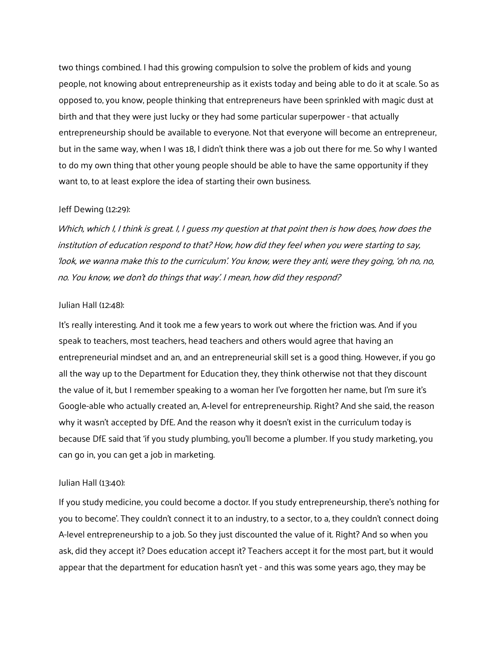two things combined. I had this growing compulsion to solve the problem of kids and young people, not knowing about entrepreneurship as it exists today and being able to do it at scale. So as opposed to, you know, people thinking that entrepreneurs have been sprinkled with magic dust at birth and that they were just lucky or they had some particular superpower - that actually entrepreneurship should be available to everyone. Not that everyone will become an entrepreneur, but in the same way, when I was 18, I didn't think there was a job out there for me. So why I wanted to do my own thing that other young people should be able to have the same opportunity if they want to, to at least explore the idea of starting their own business.

#### Jeff Dewing (12:29):

Which, which I, I think is great. I, I guess my question at that point then is how does, how does the institution of education respond to that? How, how did they feel when you were starting to say, 'look, we wanna make this to the curriculum'. You know, were they anti, were they going, 'oh no, no, no. You know, we don't do things that way'. I mean, how did they respond?

### Julian Hall (12:48):

It's really interesting. And it took me a few years to work out where the friction was. And if you speak to teachers, most teachers, head teachers and others would agree that having an entrepreneurial mindset and an, and an entrepreneurial skill set is a good thing. However, if you go all the way up to the Department for Education they, they think otherwise not that they discount the value of it, but I remember speaking to a woman her I've forgotten her name, but I'm sure it's Google-able who actually created an, A-level for entrepreneurship. Right? And she said, the reason why it wasn't accepted by DfE. And the reason why it doesn't exist in the curriculum today is because DfE said that 'if you study plumbing, you'll become a plumber. If you study marketing, you can go in, you can get a job in marketing.

### Julian Hall (13:40):

If you study medicine, you could become a doctor. If you study entrepreneurship, there's nothing for you to become'. They couldn't connect it to an industry, to a sector, to a, they couldn't connect doing A-level entrepreneurship to a job. So they just discounted the value of it. Right? And so when you ask, did they accept it? Does education accept it? Teachers accept it for the most part, but it would appear that the department for education hasn't yet - and this was some years ago, they may be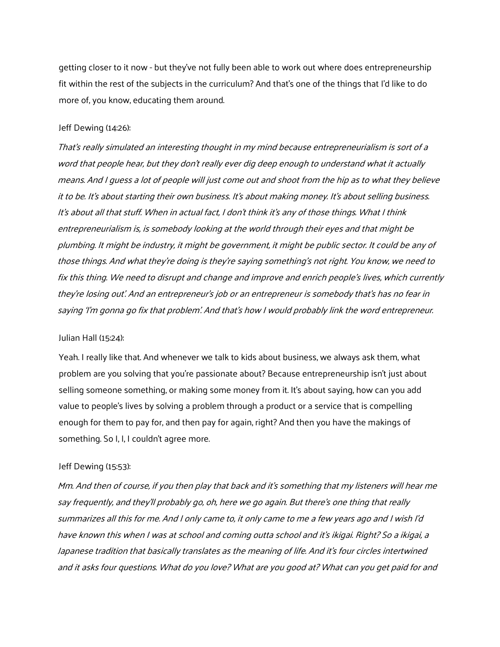getting closer to it now - but they've not fully been able to work out where does entrepreneurship fit within the rest of the subjects in the curriculum? And that's one of the things that I'd like to do more of, you know, educating them around.

### Jeff Dewing (14:26):

That's really simulated an interesting thought in my mind because entrepreneurialism is sort of a word that people hear, but they don't really ever dig deep enough to understand what it actually means. And I guess a lot of people will just come out and shoot from the hip as to what they believe it to be. It's about starting their own business. It's about making money. It's about selling business. It's about all that stuff. When in actual fact, I don't think it's any of those things. What I think entrepreneurialism is, is somebody looking at the world through their eyes and that might be plumbing. It might be industry, it might be government, it might be public sector. It could be any of those things. And what they're doing is they're <sup>s</sup>aying something's not right. You know, we need to fix this thing. We need to disrupt and change and improve and enrich people's lives, which currently they're losing out'. And an entrepreneur's job or an entrepreneur is somebody that's has no fear in saying 'I'm gonna go fix that problem'. And that's how I would probably link the word entrepreneur.

## Julian Hall (15:24):

Yeah. I really like that. And whenever we talk to kids about business, we always ask them, what problem are you solving that you're passionate about? Because entrepreneurship isn't just about selling someone something, or making some money from it. It's about saying, how can you add value to people's lives by solving a problem through a product or a service that is compelling enough for them to pay for, and then pay for again, right? And then you have the makings of something. So I, I, I couldn't agree more.

### Jeff Dewing (15:53):

Mm. And then of course, if you then play that back and it's something that my listeners will hear me say frequently, and they'll probably go, oh, here we go again. But there's one thing that really summarizes all this for me. And I only came to, it only came to me a few years ago and I wish I'd have known this when I was at school and coming outta school and it's ikigai. Right? So <sup>a</sup> ikigai, <sup>a</sup> Japanese tradition that basically translates as the meaning of life. And it's four circles intertwined and it asks four questions. What do you love? What are you good at? What can you get paid for and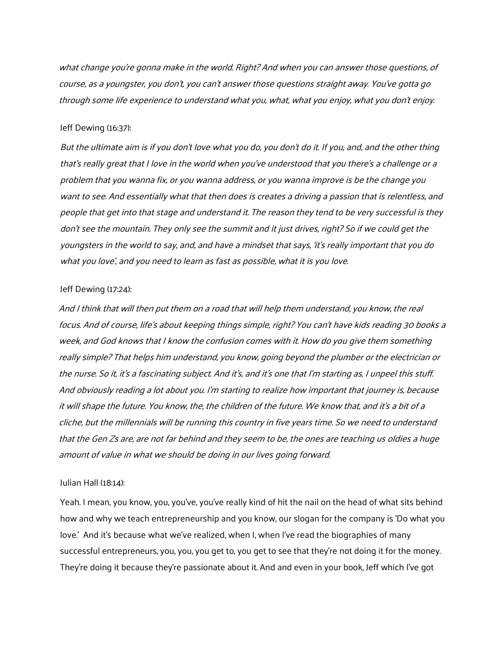what change you're gonna make in the world. Right? And when you can answer those questions, of course, as a youngster, you don't, you can't answer those questions straight away. You've gotta go through some life experience to understand what you, what, what you enjoy, what you don't enjoy.

#### Jeff Dewing (16:37):

But the ultimate aim is if you don't love what you do, you don't do it. If you, and, and the other thing that's really great that I love in the world when you've understood that you there's a challenge or a problem that you wanna fix, or you wanna address, or you wanna improve is be the change you want to see. And essentially what that then does is creates a driving a passion that is relentless, and people that get into that stage and understand it. The reason they tend to be very successful is they don't see the mountain. They only see the summit and it just drives, right? So if we could get the youngsters in the world to say, and, and have a mindset that says, 'it's really important that you do what you love', and you need to learn as fast as possible, what it is you love.

#### Jeff Dewing (17:24):

And I think that will then put them on a road that will help them understand, you know, the real focus. And of course, life's about keeping things simple, right? You can't have kids reading 30 books <sup>a</sup> week, and God knows <sup>t</sup>hat I know the confusion comes with it. How do you give them something really simple? That helps him understand, you know, going beyond the plumber or the electrician or the nurse. So it, it's a fascinating subject. And it's, and it's one that I'm starting as, I unpeel this stuff. And obviously reading a lot about you. I'm starting to realize how important that journey is, because it will shape the future. You know, the, the children of the future. We know that, and it's a bit of a cliche, but the millennials will be running this country in five years time. So we need to understand that the Gen Zs are, are not far behind and they seem to be, the ones are teaching us oldies a huge amount of value in what we should be doing in our lives going forward.

### Julian Hall (18:14):

Yeah. I mean, you know, you, you've, you've really kind of hit the nail on the head of what sits behind how and why we teach entrepreneurship and you know, our slogan for the company is 'Do what you love.' And it's because what we've realized, when I, when I've read the biographies of many successful entrepreneurs, you, you, you get to, you get to see that they're not doing it for the money. They're doing it because they're passionate about it. And and even in your book, Jeff which I've got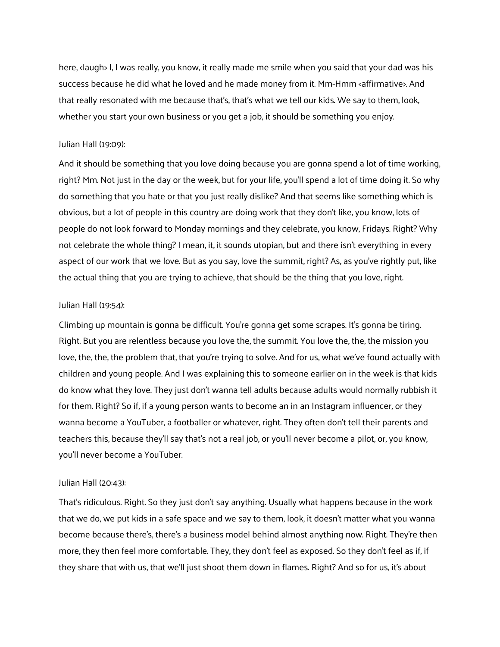here, <laugh> I, I was really, you know, it really made me smile when you said that your dad was his success because he did what he loved and he made money from it. Mm-Hmm <affirmative>. And that really resonated with me because that's, that's what we tell our kids. We say to them, look, whether you start your own business or you get a job, it should be something you enjoy.

## Julian Hall (19:09):

And it should be something that you love doing because you are gonna spend a lot of time working, right? Mm. Not just in the day or the week, but for your life, you'll spend a lot of time doing it. So why do something that you hate or that you just really dislike? And that seems like something which is obvious, but a lot of people in this country are doing work that they don't like, you know, lots of people do not look forward to Monday mornings and they celebrate, you know, Fridays. Right? Why not celebrate the whole thing? I mean, it, it sounds utopian, but and there isn't everything in every aspect of our work that we love. But as you say, love the summit, right? As, as you've rightly put, like the actual thing that you are trying to achieve, that should be the thing that you love, right.

### Julian Hall (19:54):

Climbing up mountain is gonna be difficult. You're gonna get some scrapes. It's gonna be tiring. Right. But you are relentless because you love the, the summit. You love the, the, the mission you love, the, the, the problem that, that you're trying to solve. And for us, what we've found actually with children and young people. And I was explaining this to someone earlier on in the week is that kids do know what they love. They just don't wanna tell adults because adults would normally rubbish it for them. Right? So if, if a young person wants to become an in an Instagram influencer, or they wanna become a YouTuber, a footballer or whatever, right. They often don't tell their parents and teachers this, because they'll say that's not a real job, or you'll never become a pilot, or, you know, you'll never become a YouTuber.

## Julian Hall (20:43):

That's ridiculous. Right. So they just don't say anything. Usually what happens because in the work that we do, we put kids in a safe space and we say to them, look, it doesn't matter what you wanna become because there's, there's a business model behind almost anything now. Right. They're then more, they then feel more comfortable. They, they don't feel as exposed. So they don't feel as if, if they share that with us, that we'll just shoot them down in flames. Right? And so for us, it's about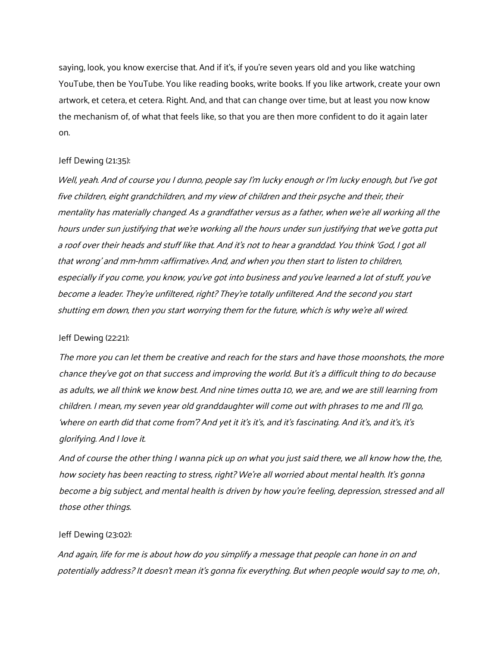saying, look, you know exercise that. And if it's, if you're seven years old and you like watching YouTube, then be YouTube. You like reading books, write books. If you like artwork, create your own artwork, et cetera, et cetera. Right. And, and that can change over time, but at least you now know the mechanism of, of what that feels like, so that you are then more confident to do it again later on.

### Jeff Dewing (21:35):

Well, yeah. And of course you I dunno, people say I'm lucky enough or I'm lucky enough, but I've got five children, eight grandchildren, and my view of children and their psyche and their, their mentality has materially changed. As a grandfather versus as a father, when we're all working all the hours under sun justifying that we're working all the hours under sun justifying that we've gotta put a roof over their heads and stuff like that. And it's not to hear a granddad. You think 'God, I got all that wrong' and mm-hmm <affirmative>. And, and when you then start to listen to children, especially if you come, you know, you've got into business and you've learned a lot of stuff, you've become a leader. They're unfiltered, right? They're totally unfiltered. And the second you start shutting em down, then you start worrying them for the future, which is why we're all wired.

### Jeff Dewing (22:21):

The more you can let them be creative and reach for the stars and have those moonshots, the more chance they've got on that success and improving the world. But it's a difficult thing to do because as adults, we all think we know best. And nine times outta 10, we are, and we are still learning from children. I mean, my seven year old granddaughter will come out with phrases to me and I'll go, 'where on earth did that come from'? And yet it it's it's, and it's fascinating. And it's, and it's, it's glorifying. And I love it.

And of course the other thing I wanna pick up on what you just said there, we all know how the, the, how society has been reacting to stress, right? We're all worried about mental health. It's gonna become a big subject, and mental health is driven by how you're feeling, depression, stressed and all those other things.

## Jeff Dewing (23:02):

And again, life for me is about how do you simplify a message that people can hone in on and potentially address? It doesn't mean it's gonna fix everything. But when people would say to me, oh,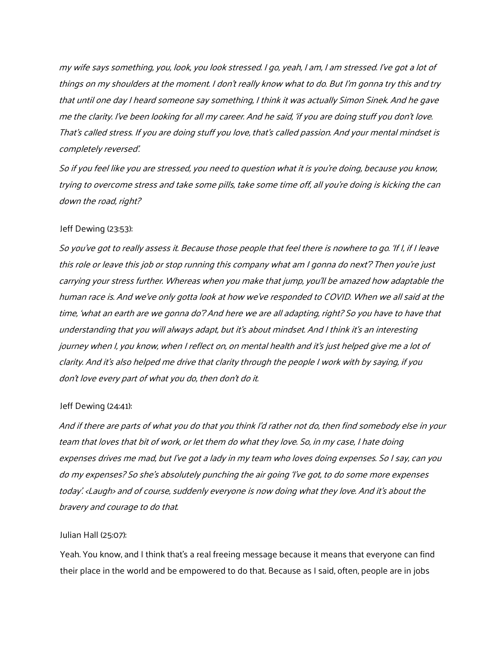my wife says something, you, look, you look stressed. I go, yeah, I am, I am stressed. I've got a lot of things on my shoulders at the moment. I don't really know what to do. But I'm gonna try this and try that until one day I heard someone say something, I think it was actually Simon Sinek. And he gave me the clarity. I've been looking for all my career. And he said, 'if you are doing stuff you don't love. That's called stress. If you are doing stuff you love, that's called passion. And your mental mindset is completely reversed'.

So if you feel like you are stressed, you need to question what it is you're doing, because you know, trying to overcome stress and take some pills, take some time off, all you're doing is kicking the can down the road, right?

## Jeff Dewing (23:53):

So you've got to really assess it. Because those people that feel there is nowhere to go. 'If I, if I leave this role or leave this job or stop running this company what am I gonna do next'? Then you're just carrying your stress further. Whereas when you make that jump, you'll be amazed how adaptable the human race is. And we've only gotta look at how we've responded to COVID. When we all said at the time, 'what an earth are we gonna do'? And here we are all adapting, right? So you have to have that understanding that you will always adapt, but it's about mindset. And I think it's an interesting journey when I, you know, when I reflect on, on mental health and it's just helped give me a lot of clarity. And it's also helped me drive that clarity through the people I work with by saying, if you don't love every part of what you do, then don't do it.

### Jeff Dewing (24:41):

And if there are parts of what you do that you think I'd rather not do, then find somebody else in your team that loves that bit of work, or let them do what they love. So, in my case, I hate doing expenses drives me mad, but I've got a lady in my team who loves doing expenses. So I say, can you do my expenses? So she's absolutely punching the air going 'I've got, to do some more expenses today'. <Laugh> and of course, suddenly everyone is now doing what they love. And it's about the bravery and courage to do that.

### Julian Hall (25:07):

Yeah. You know, and I think that's a real freeing message because it means that everyone can find their place in the world and be empowered to do that. Because as I said, often, people are in jobs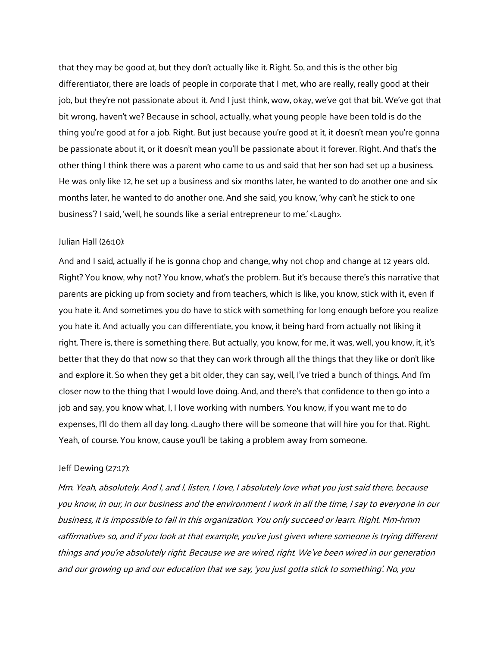that they may be good at, but they don't actually like it. Right. So, and this is the other big differentiator, there are loads of people in corporate that I met, who are really, really good at their job, but they're not passionate about it. And I just think, wow, okay, we've got that bit. We've got that bit wrong, haven't we? Because in school, actually, what young people have been told is do the thing you're good at for a job. Right. But just because you're good at it, it doesn't mean you're gonna be passionate about it, or it doesn't mean you'll be passionate about it forever. Right. And that's the other thing I think there was a parent who came to us and said that her son had set up a business. He was only like 12, he set up a business and six months later, he wanted to do another one and six months later, he wanted to do another one. And she said, you know, 'why can't he stick to one business'? I said, 'well, he sounds like a serial entrepreneur to me.' <Laugh>.

## Julian Hall (26:10):

And and I said, actually if he is gonna chop and change, why not chop and change at 12 years old. Right? You know, why not? You know, what's the problem. But it's because there's this narrative that parents are picking up from society and from teachers, which is like, you know, stick with it, even if you hate it. And sometimes you do have to stick with something for long enough before you realize you hate it. And actually you can differentiate, you know, it being hard from actually not liking it right. There is, there is something there. But actually, you know, for me, it was, well, you know, it, it's better that they do that now so that they can work through all the things that they like or don't like and explore it. So when they get a bit older, they can say, well, I've tried a bunch of things. And I'm closer now to the thing that I would love doing. And, and there's that confidence to then go into a job and say, you know what, I, I love working with numbers. You know, if you want me to do expenses, I'll do them all day long. <Laugh> there will be someone that will hire you for that. Right. Yeah, of course. You know, cause you'll be taking a problem away from someone.

#### Jeff Dewing (27:17):

Mm. Yeah, absolutely. And I, and I, listen, I love, I absolutely love what you just said there, because you know, in our, in our business and the environment I work in all the time, I say to everyone in our business, it is impossible to fail in this organization. You only succeed or learn. Right. Mm-hmm <affirmative> so, and if you look at that example, you've just given where someone is trying different things and you're absolutely right. Because we are wired, right. We've been wired in our generation and our growing up and our education that we say, 'you just gotta stick to something'. No, you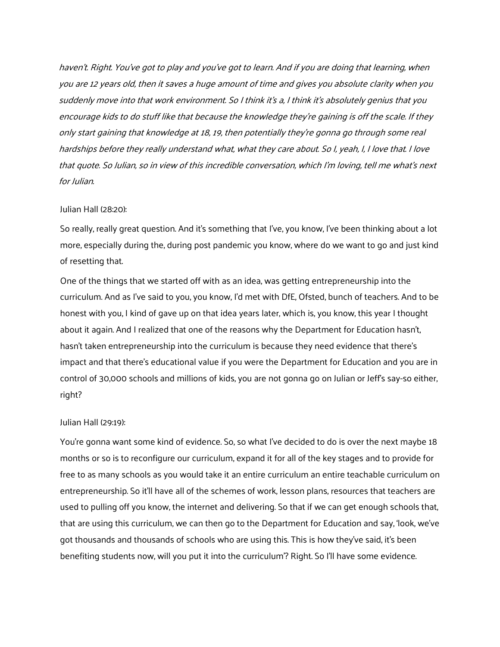haven't. Right. You've got to play and you've got to learn. And if you are doing that learning, when you are 12 years old, then it saves <sup>a</sup> huge amount of time and gives you absolute clarity when you suddenly move into that work environment. So I think it's a, I think it's absolutely genius that you encourage kids to do stuff like that because the knowledge they're gaining is off the scale. If they only start gaining that knowledge at 18, 19, then potentially they're gonna go through some real hardships before they really understand what, what they care about. So I, yeah, I, I love that. I love that quote. So Julian, so in view of this incredible conversation, which I'm loving, tell me what's next for Julian.

### Julian Hall (28:20):

So really, really great question. And it's something that I've, you know, I've been thinking about a lot more, especially during the, during post pandemic you know, where do we want to go and just kind of resetting that.

One of the things that we started off with as an idea, was getting entrepreneurship into the curriculum. And as I've said to you, you know, I'd met with DfE, Ofsted, bunch of teachers. And to be honest with you, I kind of gave up on that idea years later, which is, you know, this year I thought about it again. And I realized that one of the reasons why the Department for Education hasn't, hasn't taken entrepreneurship into the curriculum is because they need evidence that there's impact and that there's educational value if you were the Department for Education and you are in control of 30,000 schools and millions of kids, you are not gonna go on Julian or Jeff's say-so either, right?

### Julian Hall (29:19):

You're gonna want some kind of evidence. So, so what I've decided to do is over the next maybe 18 months or so is to reconfigure our curriculum, expand it for all of the key stages and to provide for free to as many schools as you would take it an entire curriculum an entire teachable curriculum on entrepreneurship. So it'll have all of the schemes of work, lesson plans, resources that teachers are used to pulling off you know, the internet and delivering. So that if we can get enough schools that, that are using this curriculum, we can then go to the Department for Education and say, 'look, we've got thousands and thousands of schools who are using this. This is how they've said, it's been benefiting students now, will you put it into the curriculum'? Right. So I'll have some evidence.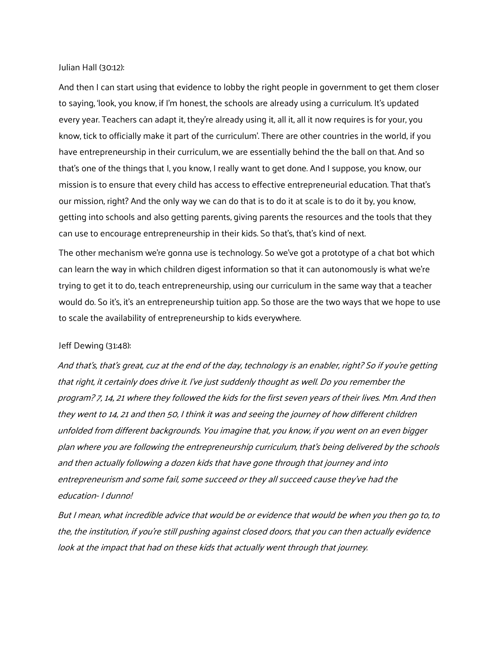Julian Hall (30:12):

And then I can start using that evidence to lobby the right people in government to get them closer to saying, 'look, you know, if I'm honest, the schools are already using a curriculum. It's updated every year. Teachers can adapt it, they're already using it, all it, all it now requires is for your, you know, tick to officially make it part of the curriculum'. There are other countries in the world, if you have entrepreneurship in their curriculum, we are essentially behind the the ball on that. And so that's one of the things that I, you know, I really want to get done. And I suppose, you know, our mission is to ensure that every child has access to effective entrepreneurial education. That that's our mission, right? And the only way we can do that is to do it at scale is to do it by, you know, getting into schools and also getting parents, giving parents the resources and the tools that they can use to encourage entrepreneurship in their kids. So that's, that's kind of next.

The other mechanism we're gonna use is technology. So we've got a prototype of a chat bot which can learn the way in which children digest information so that it can autonomously is what we're trying to get it to do, teach entrepreneurship, using our curriculum in the same way that a teacher would do. So it's, it's an entrepreneurship tuition app. So those are the two ways that we hope to use to scale the availability of entrepreneurship to kids everywhere.

### Jeff Dewing (31:48):

And that's, that's great, cuz at the end of the day, technology is an enabler, right? So if you're getting that right, it certainly does drive it. I've just suddenly thought as well. Do you remember the program? 7, 14, 21 where they followed the kids for the first seven years of their lives. Mm. And then they went to 14, 21 and then 50, I think it was and seeing the journey of how different children unfolded from different backgrounds. You imagine that, you know, if you went on an even bigger plan where you are following the entrepreneurship curriculum, that's being delivered by the schools and then actually following a dozen kids that have gone through that journey and into entrepreneurism and some fail, some succeed or they all succeed cause they've had the education- I dunno!

But I mean, what incredible advice that would be or evidence that would be when you then go to, to the, the institution, if you're still pushing against closed doors, that you can then actually evidence look at the impact that had on these kids that actually went through that journey.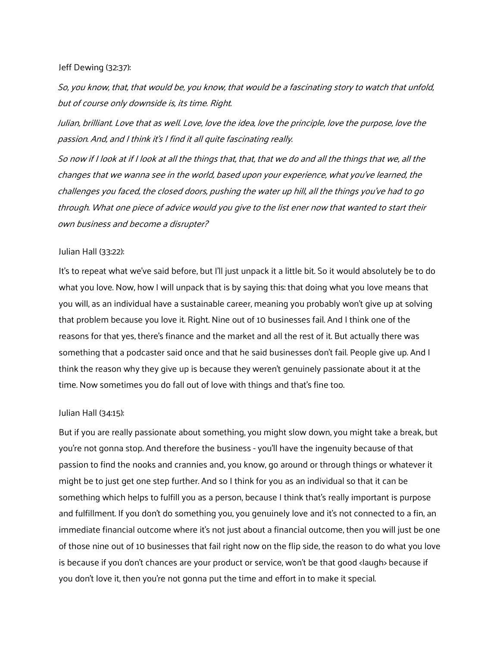### Jeff Dewing (32:37):

So, you know, that, that would be, you know, that would be a fascinating story to watch that unfold, but of course only downside is, its time. Right.

Julian, brilliant. Love that as well. Love, love the idea, love the principle, love the purpose, love the passion. And, and I think it's I find it all quite fascinating really.

So now if I look at if I look at all the things that, that, that we do and all the things that we, all the changes that we wanna see in the world, based upon your experience, what you've learned, the challenges you faced, the closed doors, pushing the water up hill, all the things you've had to go through. What one piece of advice would you give to the list ener now that wanted to start their own business and become a disrupter?

### Julian Hall (33:22):

It's to repeat what we've said before, but I'll just unpack it a little bit. So it would absolutely be to do what you love. Now, how I will unpack that is by saying this: that doing what you love means that you will, as an individual have a sustainable career, meaning you probably won't give up at solving that problem because you love it. Right. Nine out of 10 businesses fail. And I think one of the reasons for that yes, there's finance and the market and all the rest of it. But actually there was something that a podcaster said once and that he said businesses don't fail. People give up. And I think the reason why they give up is because they weren't genuinely passionate about it at the time. Now sometimes you do fall out of love with things and that's fine too.

### Julian Hall (34:15):

But if you are really passionate about something, you might slow down, you might take a break, but you're not gonna stop. And therefore the business - you'll have the ingenuity because of that passion to find the nooks and crannies and, you know, go around or through things or whatever it might be to just get one step further. And so I think for you as an individual so that it can be something which helps to fulfill you as a person, because I think that's really important is purpose and fulfillment. If you don't do something you, you genuinely love and it's not connected to a fin, an immediate financial outcome where it's not just about a financial outcome, then you will just be one of those nine out of 10 businesses that fail right now on the flip side, the reason to do what you love is because if you don't chances are your product or service, won't be that good <laugh> because if you don't love it, then you're not gonna put the time and effort in to make it special.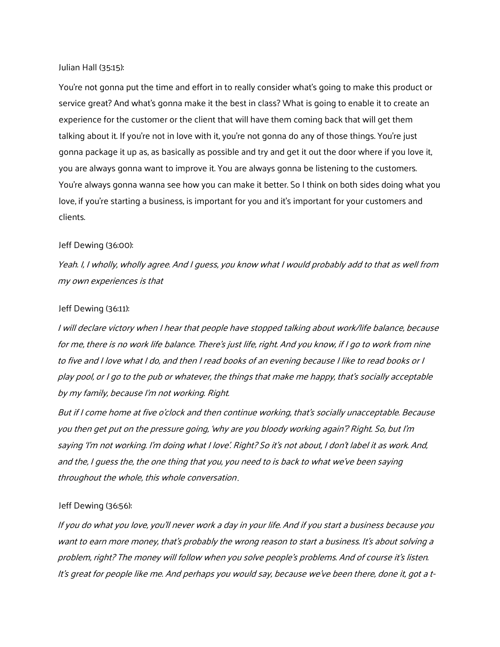Julian Hall (35:15):

You're not gonna put the time and effort in to really consider what's going to make this product or service great? And what's gonna make it the best in class? What is going to enable it to create an experience for the customer or the client that will have them coming back that will get them talking about it. If you're not in love with it, you're not gonna do any of those things. You're just gonna package it up as, as basically as possible and try and get it out the door where if you love it, you are always gonna want to improve it. You are always gonna be listening to the customers. You're always gonna wanna see how you can make it better. So I think on both sides doing what you love, if you're starting a business, is important for you and it's important for your customers and clients.

### Jeff Dewing (36:00):

Yeah. I, I wholly, wholly agree. And I guess, you know what I would probably add to that as well from my own experiences is that

### Jeff Dewing (36:11):

I will declare victory when I hear that people have stopped talking about work/life balance, because for me, there is no work life balance. There's just life, right. And you know, if I go to work from nine to five and I love what I do, and then I read books of an evening because I like to read books or I play pool, or I go to the pub or whatever, the things that make me happy, that's socially acceptable by my family, because I'm not working. Right.

But if I come home at five o'clock and then continue working, that's socially unacceptable. Because you then get put on the pressure going, 'why are you bloody working again'? Right. So, but I'm saying 'I'm not working. I'm doing what I love'. Right? So it's not about, I don't label it as work. And, and the, I guess the, the one thing that you, you need to is back to what we've been saying throughout the whole, this whole conversation .

### Jeff Dewing (36:56):

If you do what you love, you'll never work a day in your life. And if you start a business because you want to earn more money, that's probably the wrong reason to start a business. It's about solving a problem, right? The money will follow when you solve people's problems. And of course it's listen. It's great for people like me. And perhaps you would say, because we've been there, done it, got a t-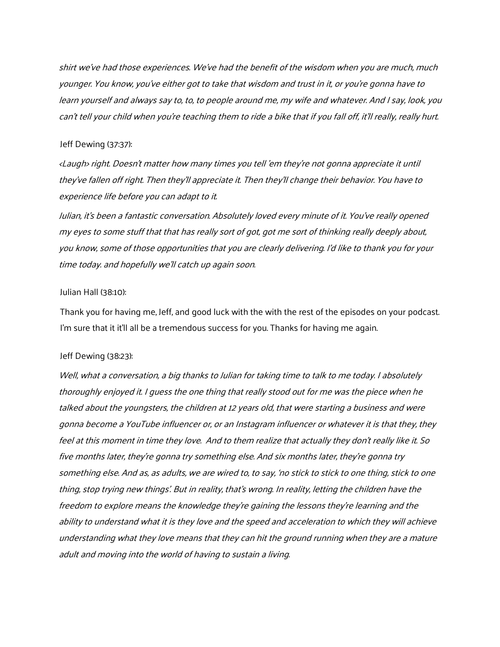shirt we've had those experiences. We've had the benefit of the wisdom when you are much, much younger. You know, you've either got to take that wisdom and trust in it, or you're gonna have to learn yourself and always say to, to, to people around me, my wife and whatever. And I say, look, you can't tell your child when you're teaching them to ride <sup>a</sup>bike that if you fall off, it'll really, really hurt.

## Jeff Dewing (37:37):

<Laugh> right. Doesn't matter how many times you tell 'em they're not gonna appreciate it until they've fallen off right. Then they'll appreciate it. Then they'll change their behavior. You have to experience life before you can adapt to it.

Julian, it's been a fantastic conversation. Absolutely loved every minute of it. You've really opened my eyes to some stuff that that has really sort of got, got me sort of thinking really deeply about, you know, some of those opportunities that you are clearly delivering. I'd like to thank you for your time today. and hopefully we'll catch up again soon.

### Julian Hall (38:10):

Thank you for having me, Jeff, and good luck with the with the rest of the episodes on your podcast. I'm sure that it it'll all be a tremendous success for you. Thanks for having me again.

### Jeff Dewing (38:23):

Well, what a conversation, a big thanks to Julian for taking time to talk to me today. I absolutely thoroughly enjoyed it. I guess the one thing that really stood out for me was the piece when he talked about the youngsters, the children at 12 years old, that were starting a business and were gonna become a YouTube influencer or, or an Instagram influencer or whatever it is that they, they feel at this moment in time they love. And to them realize that actually they don't really like it. So five months later, they're gonna try something else. And six months later, they're gonna try something else. And as, as adults, we are wired to, to say, 'no stick to stick to one thing, stick to one thing, stop trying new things'. But in reality, that's wrong. In reality, letting the children have the freedom to explore means the knowledge they're gaining the lessons they're learning and the ability to understand what it is they love and the speed and acceleration to which they will achieve understanding what they love means that they can hit the ground running when they are a mature adult and moving into the world of having to sustain a living.